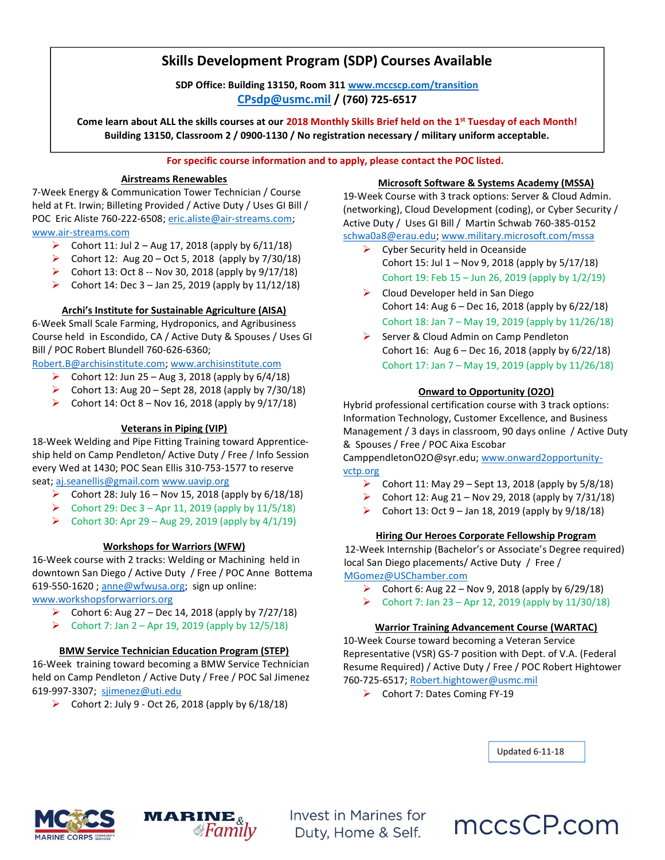## Skills Development Program (SDP) Courses Available

SDP Office: Building 13150, Room 311 www.mccscp.com/transition CPsdp@usmc.mil / (760) 725-6517

Come learn about ALL the skills courses at our 2018 Monthly Skills Brief held on the 1<sup>st</sup> Tuesday of each Month! Building 13150, Classroom 2 / 0900-1130 / No registration necessary / military uniform acceptable.

#### For specific course information and to apply, please contact the POC listed.

#### Airstreams Renewables

7-Week Energy & Communication Tower Technician / Course held at Ft. Irwin; Billeting Provided / Active Duty / Uses GI Bill / POC Eric Aliste 760-222-6508; eric.aliste@air-streams.com; www.air-streams.com

- Cohort 11: Jul 2 Aug 17, 2018 (apply by  $6/11/18$ )
- $\triangleright$  Cohort 12: Aug 20 Oct 5, 2018 (apply by 7/30/18)
- $\triangleright$  Cohort 13: Oct 8 -- Nov 30, 2018 (apply by  $9/17/18$ )
- Cohort 14: Dec  $3 -$  Jan 25, 2019 (apply by 11/12/18)

## Archi's Institute for Sustainable Agriculture (AISA)

6-Week Small Scale Farming, Hydroponics, and Agribusiness Course held in Escondido, CA / Active Duty & Spouses / Uses GI Bill / POC Robert Blundell 760-626-6360;

Robert.B@archisinstitute.com; www.archisinstitute.com

 $\triangleright$  Cohort 12: Jun 25 – Aug 3, 2018 (apply by 6/4/18)

- $\triangleright$  Cohort 13: Aug 20 Sept 28, 2018 (apply by 7/30/18)
- Cohort 14: Oct 8 Nov 16, 2018 (apply by  $9/17/18$ )

#### Veterans in Piping (VIP)

18-Week Welding and Pipe Fitting Training toward Apprenticeship held on Camp Pendleton/ Active Duty / Free / Info Session every Wed at 1430; POC Sean Ellis 310-753-1577 to reserve seat; aj.seanellis@gmail.com www.uavip.org

- $\triangleright$  Cohort 28: July 16 Nov 15, 2018 (apply by 6/18/18)
- $\triangleright$  Cohort 29: Dec 3 Apr 11, 2019 (apply by 11/5/18)
- $\triangleright$  Cohort 30: Apr 29 Aug 29, 2019 (apply by 4/1/19)

## Workshops for Warriors (WFW)

16-Week course with 2 tracks: Welding or Machining held in downtown San Diego / Active Duty / Free / POC Anne Bottema 619-550-1620 ; anne@wfwusa.org; sign up online:

www.workshopsforwarriors.org

- Cohort 6: Aug 27 Dec 14, 2018 (apply by  $7/27/18$ )
- $\triangleright$  Cohort 7: Jan 2 Apr 19, 2019 (apply by 12/5/18)

## BMW Service Technician Education Program (STEP)

16-Week training toward becoming a BMW Service Technician held on Camp Pendleton / Active Duty / Free / POC Sal Jimenez 619-997-3307; sjimenez@uti.edu

 $\triangleright$  Cohort 2: July 9 - Oct 26, 2018 (apply by 6/18/18)

#### Microsoft Software & Systems Academy (MSSA)

19-Week Course with 3 track options: Server & Cloud Admin. (networking), Cloud Development (coding), or Cyber Security / Active Duty / Uses GI Bill / Martin Schwab 760-385-0152 schwa0a8@erau.edu; www.military.microsoft.com/mssa

- Cyber Security held in Oceanside Cohort 15: Jul 1 – Nov 9, 2018 (apply by 5/17/18) Cohort 19: Feb 15 – Jun 26, 2019 (apply by 1/2/19)
- $\triangleright$  Cloud Developer held in San Diego Cohort 14: Aug 6 – Dec 16, 2018 (apply by 6/22/18) Cohort 18: Jan 7 – May 19, 2019 (apply by 11/26/18)
- Server & Cloud Admin on Camp Pendleton Cohort 16: Aug 6 – Dec 16, 2018 (apply by 6/22/18) Cohort 17: Jan 7 – May 19, 2019 (apply by 11/26/18)

## Onward to Opportunity (O2O)

Hybrid professional certification course with 3 track options: Information Technology, Customer Excellence, and Business Management / 3 days in classroom, 90 days online / Active Duty & Spouses / Free / POC Aixa Escobar

CamppendletonO2O@syr.edu; www.onward2opportunityvctp.org

- Cohort 11: May 29 Sept 13, 2018 (apply by  $5/8/18$ )
- Cohort 12: Aug 21 Nov 29, 2018 (apply by 7/31/18)
- Cohort 13: Oct 9 Jan 18, 2019 (apply by  $9/18/18$ )

#### Hiring Our Heroes Corporate Fellowship Program

12-Week Internship (Bachelor's or Associate's Degree required) local San Diego placements/ Active Duty / Free / MGomez@USChamber.com

- $\triangleright$  Cohort 6: Aug 22 Nov 9, 2018 (apply by 6/29/18)
- $\triangleright$  Cohort 7: Jan 23 Apr 12, 2019 (apply by 11/30/18)

#### Warrior Training Advancement Course (WARTAC)

10-Week Course toward becoming a Veteran Service Representative (VSR) GS-7 position with Dept. of V.A. (Federal Resume Required) / Active Duty / Free / POC Robert Hightower 760-725-6517; Robert.hightower@usmc.mil

▶ Cohort 7: Dates Coming FY-19

Updated 6-11-18





Invest in Marines for Duty, Home & Self.